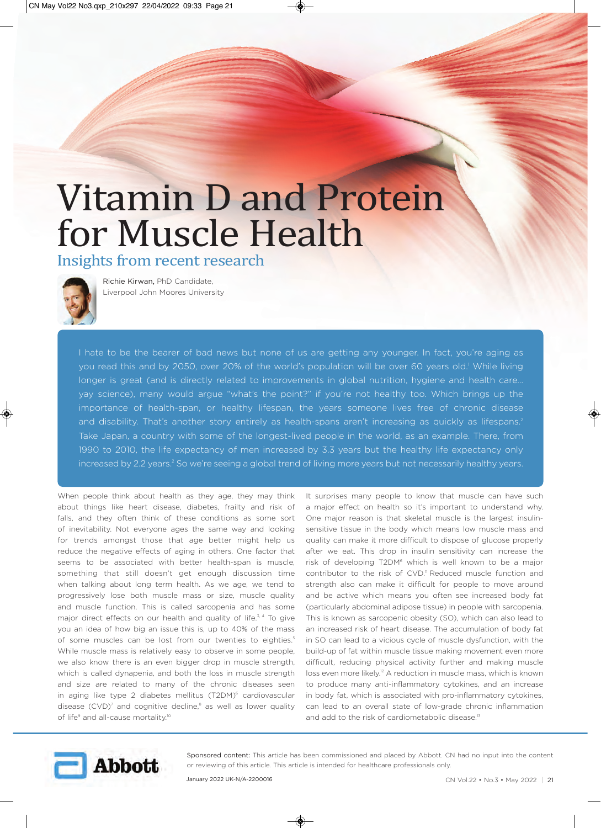## Vitamin D and Protein for Muscle Health

## Insights from recent research



Richie Kirwan, PhD Candidate, Liverpool John Moores University

I hate to be the bearer of bad news but none of us are getting any younger. In fact, you're aging as you read this and by 2050, over 20% of the world's population will be over 60 years old.' While living longer is great (and is directly related to improvements in global nutrition, hygiene and health care… yay science), many would argue "what's the point?" if you're not healthy too. Which brings up the importance of health-span, or healthy lifespan, the years someone lives free of chronic disease and disability. That's another story entirely as health-spans aren't increasing as quickly as lifespans.<sup>2</sup> Take Japan, a country with some of the longest-lived people in the world, as an example. There, from 1990 to 2010, the life expectancy of men increased by 3.3 years but the healthy life expectancy only increased by 2.2 years.<sup>2</sup> So we're seeing a global trend of living more years but not necessarily healthy years.

When people think about health as they age, they may think about things like heart disease, diabetes, frailty and risk of falls, and they often think of these conditions as some sort of inevitability. Not everyone ages the same way and looking for trends amongst those that age better might help us reduce the negative effects of aging in others. One factor that seems to be associated with better health-span is muscle, something that still doesn't get enough discussion time when talking about long term health. As we age, we tend to progressively lose both muscle mass or size, muscle quality and muscle function. This is called sarcopenia and has some major direct effects on our health and quality of life.<sup>3, 4</sup> To give you an idea of how big an issue this is, up to 40% of the mass of some muscles can be lost from our twenties to eighties.<sup>5</sup> While muscle mass is relatively easy to observe in some people, we also know there is an even bigger drop in muscle strength, which is called dynapenia, and both the loss in muscle strength and size are related to many of the chronic diseases seen in aging like type 2 diabetes mellitus (T2DM)<sup>6</sup> cardiovascular disease (CVD)<sup>7</sup> and cognitive decline,<sup>8</sup> as well as lower quality of life<sup>9</sup> and all-cause mortality.<sup>10</sup>

It surprises many people to know that muscle can have such a major effect on health so it's important to understand why. One major reason is that skeletal muscle is the largest insulinsensitive tissue in the body which means low muscle mass and quality can make it more difficult to dispose of glucose properly after we eat. This drop in insulin sensitivity can increase the risk of developing T2DM<sup>6</sup> which is well known to be a major contributor to the risk of CVD.<sup>11</sup> Reduced muscle function and strength also can make it difficult for people to move around and be active which means you often see increased body fat (particularly abdominal adipose tissue) in people with sarcopenia. This is known as sarcopenic obesity (SO), which can also lead to an increased risk of heart disease. The accumulation of body fat in SO can lead to a vicious cycle of muscle dysfunction, with the build-up of fat within muscle tissue making movement even more difficult, reducing physical activity further and making muscle loss even more likely.<sup>12</sup> A reduction in muscle mass, which is known to produce many anti-inflammatory cytokines, and an increase in body fat, which is associated with pro-inflammatory cytokines, can lead to an overall state of low-grade chronic inflammation and add to the risk of cardiometabolic disease.<sup>13</sup>



Sponsored content: This article has been commissioned and placed by Abbott. CN had no input into the content or reviewing of this article. This article is intended for healthcare professionals only.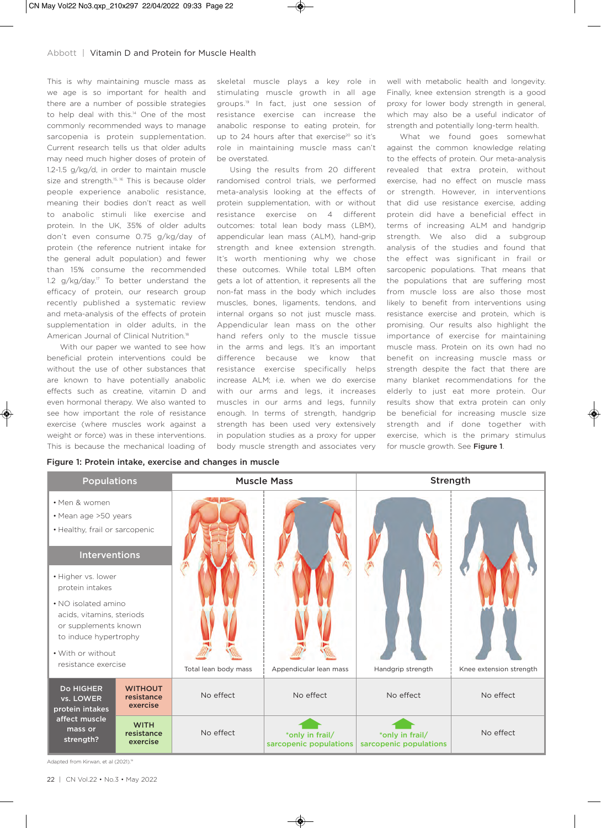This is why maintaining muscle mass as we age is so important for health and there are a number of possible strategies to help deal with this.<sup>14</sup> One of the most commonly recommended ways to manage sarcopenia is protein supplementation. Current research tells us that older adults may need much higher doses of protein of 1.2-1.5 g/kg/d, in order to maintain muscle size and strength.<sup>15, 16</sup> This is because older people experience anabolic resistance, meaning their bodies don't react as well to anabolic stimuli like exercise and protein. In the UK, 35% of older adults don't even consume 0.75 g/kg/day of protein (the reference nutrient intake for the general adult population) and fewer than 15% consume the recommended 1.2 g/kg/day.<sup>17</sup> To better understand the efficacy of protein, our research group recently published a systematic review and meta-analysis of the effects of protein supplementation in older adults, in the American Journal of Clinical Nutrition.<sup>18</sup>

With our paper we wanted to see how beneficial protein interventions could be without the use of other substances that are known to have potentially anabolic effects such as creatine, vitamin D and even hormonal therapy. We also wanted to see how important the role of resistance exercise (where muscles work against a weight or force) was in these interventions. This is because the mechanical loading of

skeletal muscle plays a key role in stimulating muscle growth in all age groups.19 In fact, just one session of resistance exercise can increase the anabolic response to eating protein, for up to 24 hours after that exercise $20$  so it's role in maintaining muscle mass can't be overstated.

Using the results from 20 different randomised control trials, we performed meta-analysis looking at the effects of protein supplementation, with or without resistance exercise on 4 different outcomes: total lean body mass (LBM), appendicular lean mass (ALM), hand-grip strength and knee extension strength. It's worth mentioning why we chose these outcomes. While total LBM often gets a lot of attention, it represents all the non-fat mass in the body which includes muscles, bones, ligaments, tendons, and internal organs so not just muscle mass. Appendicular lean mass on the other hand refers only to the muscle tissue in the arms and legs. It's an important difference because we know that resistance exercise specifically helps increase ALM; i.e. when we do exercise with our arms and legs, it increases muscles in our arms and legs, funnily enough. In terms of strength, handgrip strength has been used very extensively in population studies as a proxy for upper body muscle strength and associates very well with metabolic health and longevity. Finally, knee extension strength is a good proxy for lower body strength in general, which may also be a useful indicator of strength and potentially long-term health.

What we found goes somewhat against the common knowledge relating to the effects of protein. Our meta-analysis revealed that extra protein, without exercise, had no effect on muscle mass or strength. However, in interventions that did use resistance exercise, adding protein did have a beneficial effect in terms of increasing ALM and handgrip strength. We also did a subgroup analysis of the studies and found that the effect was significant in frail or sarcopenic populations. That means that the populations that are suffering most from muscle loss are also those most likely to benefit from interventions using resistance exercise and protein, which is promising. Our results also highlight the importance of exercise for maintaining muscle mass. Protein on its own had no benefit on increasing muscle mass or strength despite the fact that there are many blanket recommendations for the elderly to just eat more protein. Our results show that extra protein can only be beneficial for increasing muscle size strength and if done together with exercise, which is the primary stimulus for muscle growth. See Figure 1.

Figure 1: Protein intake, exercise and changes in muscle

| <b>Populations</b>                                                                                |                                          | <b>Muscle Mass</b>   |                                           | Strength                                  |                         |
|---------------------------------------------------------------------------------------------------|------------------------------------------|----------------------|-------------------------------------------|-------------------------------------------|-------------------------|
| • Men & women<br>• Mean age >50 years<br>• Healthy, frail or sarcopenic                           |                                          |                      |                                           |                                           |                         |
| Interventions                                                                                     |                                          |                      |                                           |                                           |                         |
| • Higher vs. lower<br>protein intakes                                                             |                                          |                      |                                           |                                           |                         |
| • NO isolated amino<br>acids, vitamins, steriods<br>or supplements known<br>to induce hypertrophy |                                          |                      |                                           |                                           |                         |
| . With or without                                                                                 |                                          |                      |                                           |                                           |                         |
| resistance exercise                                                                               |                                          | Total lean body mass | Appendicular lean mass                    | Handgrip strength                         | Knee extension strength |
| <b>Do HIGHER</b><br>vs. LOWER<br>protein intakes<br>affect muscle<br>mass or<br>strength?         | <b>WITHOUT</b><br>resistance<br>exercise | No effect            | No effect                                 | No effect                                 | No effect               |
|                                                                                                   | <b>WITH</b><br>resistance<br>exercise    | No effect            | *only in frail/<br>sarcopenic populations | *only in frail/<br>sarcopenic populations | No effect               |

Adapted from Kirwan, et al (2021).<sup>18</sup>